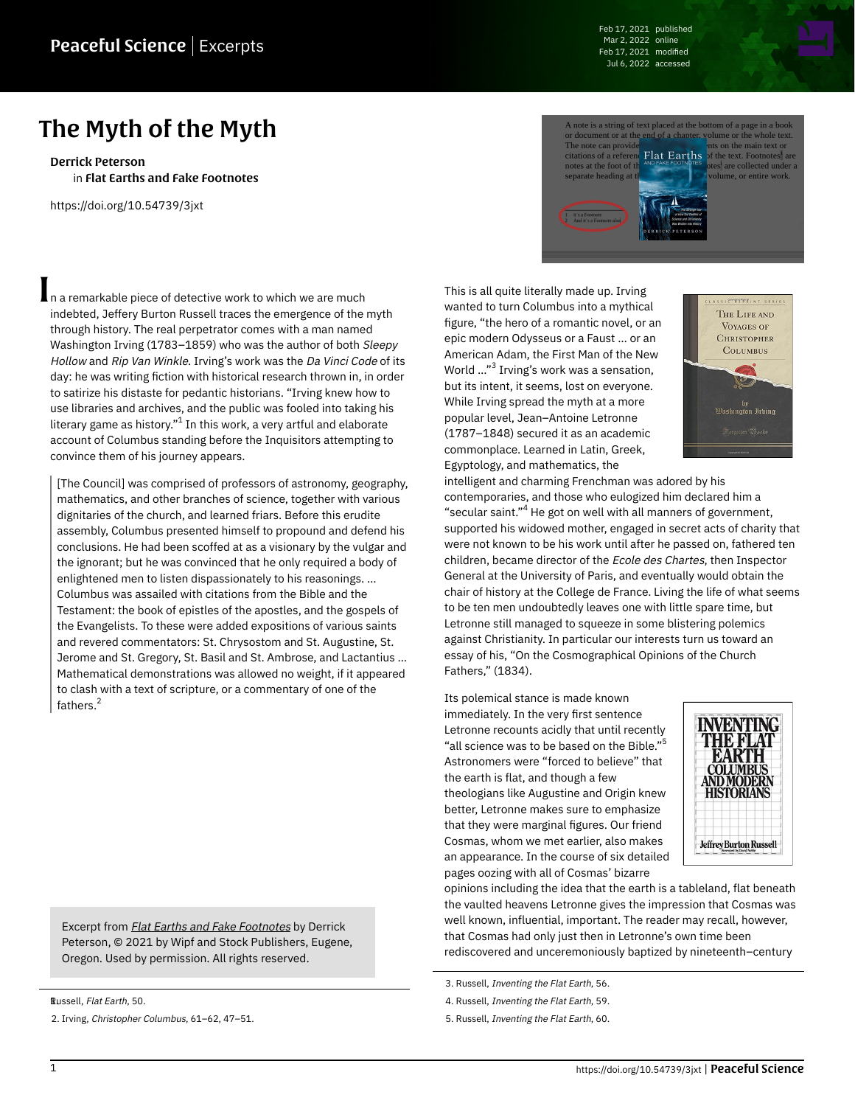Feb 17, 2021 published Mar 2, 2022 online Feb 17, 2021 modified Jul 6, 2022 accessed

## The Myth of the Myth

[Derrick Peterson](https://peacefulscience.org/authors/dpeterson/) in [Flat Earths and Fake Footnotes](https://peacefulscience.org/books/flat-earths-fake-footnotes/)

<https://doi.org/10.54739/3jxt>

n a remarkable piece of detective work to which we are much indebted, Jeffery Burton Russell traces the emergence of the myth through history. The real perpetrator comes with a man named Washington Irving (1783-1859) who was the author of both Sleepy Hollow and Rip Van Winkle. Irving's work was the Da Vinci Code of its day: he was writing fiction with historical research thrown in, in order to satirize his distaste for pedantic historians. "Irving knew how to use libraries and archives, and the public was fooled into taking his literary game as history." $^{\rm 1}$  In this work, a very artful and elaborate account of Columbus standing before the Inquisitors attempting to convince them of his journey appears.

[The Council] was comprised of professors of astronomy, geography, mathematics, and other branches of science, together with various dignitaries of the church, and learned friars. Before this erudite assembly, Columbus presented himself to propound and defend his conclusions. He had been scoffed at as a visionary by the vulgar and the ignorant; but he was convinced that he only required a body of enlightened men to listen dispassionately to his reasonings. … Columbus was assailed with citations from the Bible and the Testament: the book of epistles of the apostles, and the gospels of the Evangelists. To these were added expositions of various saints and revered commentators: St. Chrysostom and St. Augustine, St. Jerome and St. Gregory, St. Basil and St. Ambrose, and Lactantius … Mathematical demonstrations was allowed no weight, if it appeared to clash with a text of scripture, or a commentary of one of the fathers. 2

Excerpt from **[Flat Earths and Fake Footnotes](https://peacefulscience.org/books/flat-earths-fake-footnotes/)** by Derrick Peterson, © 2021 by Wipf and Stock Publishers, Eugene, Oregon. Used by permission. All rights reserved.

Russell, Flat Earth, 50.

2. Irving, Christopher Columbus, 61–62, 47–51.



This is all quite literally made up. Irving wanted to turn Columbus into a mythical figure, "the hero of a romantic novel, or an epic modern Odysseus or a Faust … or an American Adam, the First Man of the New World ..."<sup>3</sup> Irving's work was a sensation, but its intent, it seems, lost on everyone. While Irving spread the myth at a more popular level, Jean–Antoine Letronne (1787–1848) secured it as an academic commonplace. Learned in Latin, Greek, Egyptology, and mathematics, the



intelligent and charming Frenchman was adored by his contemporaries, and those who eulogized him declared him a "secular saint." <sup>4</sup> He got on well with all manners of government, supported his widowed mother, engaged in secret acts of charity that were not known to be his work until after he passed on, fathered ten children, became director of the Ecole des Chartes, then Inspector General at the University of Paris, and eventually would obtain the chair of history at the College de France. Living the life of what seems to be ten men undoubtedly leaves one with little spare time, but Letronne still managed to squeeze in some blistering polemics against Christianity. In particular our interests turn us toward an essay of his, "On the Cosmographical Opinions of the Church Fathers," (1834).

Its polemical stance is made known immediately. In the very first sentence Letronne recounts acidly that until recently "all science was to be based on the Bible." $^{\rm 5}$ Astronomers were "forced to believe" that the earth is flat, and though a few theologians like Augustine and Origin knew better, Letronne makes sure to emphasize that they were marginal figures. Our friend Cosmas, whom we met earlier, also makes an appearance. In the course of six detailed pages oozing with all of Cosmas' bizarre



opinions including the idea that the earth is a tableland, flat beneath the vaulted heavens Letronne gives the impression that Cosmas was well known, influential, important. The reader may recall, however, that Cosmas had only just then in Letronne's own time been rediscovered and unceremoniously baptized by nineteenth–century

3. Russell, Inventing the Flat Earth, 56.

4. Russell, Inventing the Flat Earth, 59.

5. Russell, Inventing the Flat Earth, 60.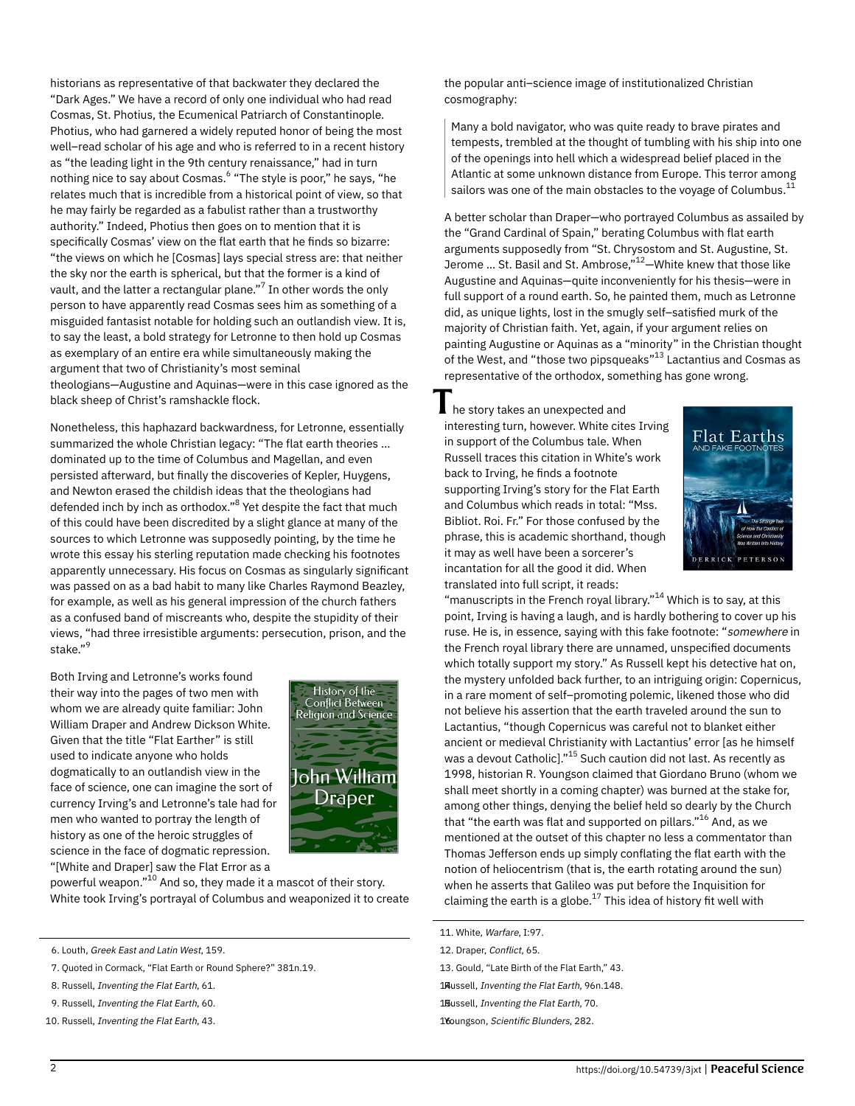historians as representative of that backwater they declared the "Dark Ages." We have a record of only one individual who had read Cosmas, St. Photius, the Ecumenical Patriarch of Constantinople. Photius, who had garnered a widely reputed honor of being the most well–read scholar of his age and who is referred to in a recent history as "the leading light in the 9th century renaissance," had in turn nothing nice to say about Cosmas.<sup>6</sup> "The style is poor," he says, "he relates much that is incredible from a historical point of view, so that he may fairly be regarded as a fabulist rather than a trustworthy authority." Indeed, Photius then goes on to mention that it is specifically Cosmas' view on the flat earth that he finds so bizarre: "the views on which he [Cosmas] lays special stress are: that neither the sky nor the earth is spherical, but that the former is a kind of vault, and the latter a rectangular plane." $^7$  In other words the only person to have apparently read Cosmas sees him as something of a misguided fantasist notable for holding such an outlandish view. It is, to say the least, a bold strategy for Letronne to then hold up Cosmas as exemplary of an entire era while simultaneously making the argument that two of Christianity's most seminal theologians—Augustine and Aquinas—were in this case ignored as the black sheep of Christ's ramshackle flock.

Nonetheless, this haphazard backwardness, for Letronne, essentially summarized the whole Christian legacy: "The flat earth theories … dominated up to the time of Columbus and Magellan, and even persisted afterward, but finally the discoveries of Kepler, Huygens, and Newton erased the childish ideas that the theologians had defended inch by inch as orthodox."<sup>8</sup> Yet despite the fact that much of this could have been discredited by a slight glance at many of the sources to which Letronne was supposedly pointing, by the time he wrote this essay his sterling reputation made checking his footnotes apparently unnecessary. His focus on Cosmas as singularly significant was passed on as a bad habit to many like Charles Raymond Beazley, for example, as well as his general impression of the church fathers as a confused band of miscreants who, despite the stupidity of their views, "had three irresistible arguments: persecution, prison, and the stake." 9

Both Irving and Letronne's works found their way into the pages of two men with whom we are already quite familiar: John William Draper and Andrew Dickson White. Given that the title "Flat Earther" is still used to indicate anyone who holds dogmatically to an outlandish view in the face of science, one can imagine the sort of currency Irving's and Letronne's tale had for men who wanted to portray the length of history as one of the heroic struggles of science in the face of dogmatic repression. "[White and Draper] saw the Flat Error as a



powerful weapon." $^{10}$  And so, they made it a mascot of their story. White took Irving's portrayal of Columbus and weaponized it to create

6. Louth, Greek East and Latin West, 159.

7. Quoted in Cormack, "Flat Earth or Round Sphere?" 381n.19.

- 8. Russell, Inventing the Flat Earth, 61.
- 9. Russell, Inventing the Flat Earth, 60.

10. Russell, Inventing the Flat Earth, 43.

the popular anti–science image of institutionalized Christian cosmography:

Many a bold navigator, who was quite ready to brave pirates and tempests, trembled at the thought of tumbling with his ship into one of the openings into hell which a widespread belief placed in the Atlantic at some unknown distance from Europe. This terror among sailors was one of the main obstacles to the voyage of Columbus. $^{\rm 11}$ 

A better scholar than Draper—who portrayed Columbus as assailed by the "Grand Cardinal of Spain," berating Columbus with flat earth arguments supposedly from "St. Chrysostom and St. Augustine, St. Jerome ... St. Basil and St. Ambrose," $^{12}-$ White knew that those like Augustine and Aquinas—quite inconveniently for his thesis—were in full support of a round earth. So, he painted them, much as Letronne did, as unique lights, lost in the smugly self–satisfied murk of the majority of Christian faith. Yet, again, if your argument relies on painting Augustine or Aquinas as a "minority" in the Christian thought of the West, and "those two pipsqueaks"<sup>13</sup> Lactantius and Cosmas as representative of the orthodox, something has gone wrong.

 $\blacksquare$  he story takes an unexpected and interesting turn, however. White cites Irving in support of the Columbus tale. When Russell traces this citation in White's work back to Irving, he finds a footnote supporting Irving's story for the Flat Earth and Columbus which reads in total: "Mss. Bibliot. Roi. Fr." For those confused by the phrase, this is academic shorthand, though it may as well have been a sorcerer's incantation for all the good it did. When translated into full script, it reads:



"manuscripts in the French royal library." $^{14}$  Which is to say, at this point, Irving is having a laugh, and is hardly bothering to cover up his ruse. He is, in essence, saying with this fake footnote: "somewhere in the French royal library there are unnamed, unspecified documents which totally support my story." As Russell kept his detective hat on, the mystery unfolded back further, to an intriguing origin: Copernicus, in a rare moment of self–promoting polemic, likened those who did not believe his assertion that the earth traveled around the sun to Lactantius, "though Copernicus was careful not to blanket either ancient or medieval Christianity with Lactantius' error [as he himself was a devout Catholic]."<sup>15</sup> Such caution did not last. As recently as 1998, historian R. Youngson claimed that Giordano Bruno (whom we shall meet shortly in a coming chapter) was burned at the stake for, among other things, denying the belief held so dearly by the Church that "the earth was flat and supported on pillars."<sup>16</sup> And, as we mentioned at the outset of this chapter no less a commentator than Thomas Jefferson ends up simply conflating the flat earth with the notion of heliocentrism (that is, the earth rotating around the sun) when he asserts that Galileo was put before the Inquisition for claiming the earth is a globe. $^{17}$  This idea of history fit well with

- 12. Draper, Conflict, 65.
- 13. Gould, "Late Birth of the Flat Earth," 43.
- 1<sub>Russell</sub>, *Inventing the Flat Earth*, 96n.148.
- 1Bussell, Inventing the Flat Earth, 70.

16oungson, Scientific Blunders, 282.

<sup>11.</sup> White, Warfare, I:97.